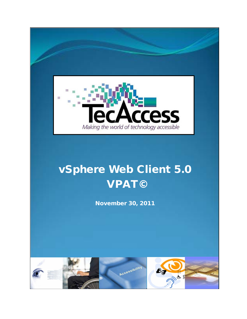

# vSphere Web Client 5.0 VPAT©

November 30, 2011

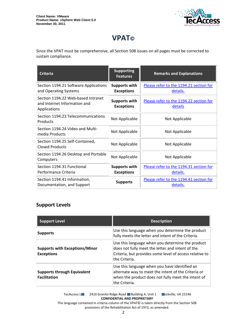

## **VPAT©**

Since the VPAT must be comprehensive, all Section 508 issues on all pages must be corrected to sustain compliance.

| <b>Criteria</b>                                                                    | <b>Supporting</b><br><b>Features</b>      | <b>Remarks and Explanations</b>                     |
|------------------------------------------------------------------------------------|-------------------------------------------|-----------------------------------------------------|
| Section 1194.21 Software Applications<br>and Operating Systems                     | <b>Supports with</b><br><b>Exceptions</b> | Please refer to the 1194.21 section for<br>details. |
| Section 1194.22 Web-based Intranet<br>and Internet Information and<br>Applications | <b>Supports with</b><br><b>Exceptions</b> | Please refer to the 1194.22 section for<br>details  |
| Section 1194.23 Telecommunications<br>Products                                     | Not Applicable                            | Not Applicable                                      |
| Section 1194.24 Video and Multi-<br>media Products                                 | Not Applicable                            | Not Applicable                                      |
| Section 1194.25 Self-Contained,<br><b>Closed Products</b>                          | Not Applicable                            | Not Applicable                                      |
| Section 1194.26 Desktop and Portable<br>Computers                                  | Not Applicable                            | Not Applicable                                      |
| Section 1194.31 Functional<br>Performance Criteria                                 | <b>Supports with</b><br><b>Exceptions</b> | Please refer to the 1194.31 section for<br>details. |
| Section 1194.41 Information,<br>Documentation, and Support                         | <b>Supports</b>                           | Please refer to the 1194.41 section for<br>details. |

#### **Support Levels**

| <b>Support Level</b>                                       | <b>Description</b>                                                                                                                                                               |
|------------------------------------------------------------|----------------------------------------------------------------------------------------------------------------------------------------------------------------------------------|
| <b>Supports</b>                                            | Use this language when you determine the product<br>fully meets the letter and intent of the Criteria.                                                                           |
| <b>Supports with Exceptions/Minor</b><br><b>Exceptions</b> | Use this language when you determine the product<br>does not fully meet the letter and intent of the<br>Criteria, but provides some level of access relative to<br>the Criteria. |
| <b>Supports through Equivalent</b><br><b>Facilitation</b>  | Use this language when you have identified an<br>alternate way to meet the intent of the Criteria or<br>when the product does not fully meet the intent of<br>the Criteria.      |

TecAccess LLC 2410 Granite Ridge Road Building A, Unit 1 Dickville, VA 23146 **CONFIDENTIAL AND PROPRIETARY** The language contained in criteria column of the VPAT© is taken directly from the Section 508

provisions of the Rehabilitation Act of 1973, as amended.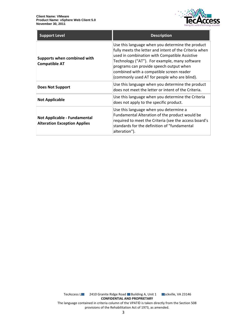

| <b>Support Level</b>                                                       | <b>Description</b>                                                                                                                                                                                                                                                                                                                                  |
|----------------------------------------------------------------------------|-----------------------------------------------------------------------------------------------------------------------------------------------------------------------------------------------------------------------------------------------------------------------------------------------------------------------------------------------------|
| Supports when combined with<br><b>Compatible AT</b>                        | Use this language when you determine the product<br>fully meets the letter and intent of the Criteria when<br>used in combination with Compatible Assistive<br>Technology ("AT"). For example, many software<br>programs can provide speech output when<br>combined with a compatible screen reader<br>(commonly used AT for people who are blind). |
| <b>Does Not Support</b>                                                    | Use this language when you determine the product<br>does not meet the letter or intent of the Criteria.                                                                                                                                                                                                                                             |
| <b>Not Applicable</b>                                                      | Use this language when you determine the Criteria<br>does not apply to the specific product.                                                                                                                                                                                                                                                        |
| <b>Not Applicable - Fundamental</b><br><b>Alteration Exception Applies</b> | Use this language when you determine a<br>Fundamental Alteration of the product would be<br>required to meet the Criteria (see the access board's<br>standards for the definition of "fundamental<br>alteration").                                                                                                                                  |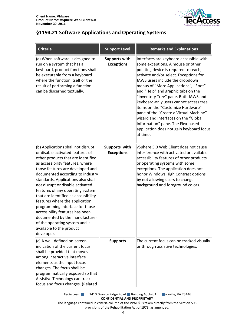

#### <span id="page-3-0"></span>**§1194.21 Software Applications and Operating Systems**

| <b>Criteria</b>                                                                                                                                                                                                                                                                                                                                                                                                                                                                                                                                                                                      | <b>Support Level</b>                      | <b>Remarks and Explanations</b>                                                                                                                                                                                                                                                                                                                                                                                                                                                                                                                                                         |
|------------------------------------------------------------------------------------------------------------------------------------------------------------------------------------------------------------------------------------------------------------------------------------------------------------------------------------------------------------------------------------------------------------------------------------------------------------------------------------------------------------------------------------------------------------------------------------------------------|-------------------------------------------|-----------------------------------------------------------------------------------------------------------------------------------------------------------------------------------------------------------------------------------------------------------------------------------------------------------------------------------------------------------------------------------------------------------------------------------------------------------------------------------------------------------------------------------------------------------------------------------------|
| (a) When software is designed to<br>run on a system that has a<br>keyboard, product functions shall<br>be executable from a keyboard<br>where the function itself or the<br>result of performing a function<br>can be discerned textually.                                                                                                                                                                                                                                                                                                                                                           | <b>Supports with</b><br><b>Exceptions</b> | Interfaces are keyboard accessible with<br>some exceptions. A mouse or other<br>pointing device is required to reach,<br>activate and/or select. Exceptions for<br>JAWS users include the dropdown<br>menus of "More Applications", "Root"<br>and "Help" and graphic tabs on the<br>"Inventory Tree" pane. Both JAWS and<br>keyboard-only users cannot access tree<br>items on the "Customize Hardware"<br>pane of the "Create a Virtual Machine"<br>wizard and interfaces on the "Global<br>Information" pane. The Flex-based<br>application does not gain keyboard focus<br>at times. |
| (b) Applications shall not disrupt<br>or disable activated features of<br>other products that are identified<br>as accessibility features, where<br>those features are developed and<br>documented according to industry<br>standards. Applications also shall<br>not disrupt or disable activated<br>features of any operating system<br>that are identified as accessibility<br>features where the application<br>programming interface for those<br>accessibility features has been<br>documented by the manufacturer<br>of the operating system and is<br>available to the product<br>developer. | Supports with<br><b>Exceptions</b>        | vSphere 5.0 Web Client does not cause<br>interference with activated or available<br>accessibility features of other products<br>or operating systems with some<br>exceptions. The application does not<br>honor Windows High Contrast options<br>by not allowing users to change<br>background and foreground colors.                                                                                                                                                                                                                                                                  |
| (c) A well-defined on-screen<br>indication of the current focus<br>shall be provided that moves<br>among interactive interface<br>elements as the input focus<br>changes. The focus shall be<br>programmatically exposed so that<br>Assistive Technology can track<br>focus and focus changes. (Related                                                                                                                                                                                                                                                                                              | <b>Supports</b>                           | The current focus can be tracked visually<br>or through assistive technologies.                                                                                                                                                                                                                                                                                                                                                                                                                                                                                                         |

TecAccess L**LC** 2410 Granite Ridge Road Building A, Unit 1 **Rockville, VA 23146 CONFIDENTIAL AND PROPRIETARY**

The language contained in criteria column of the VPAT© is taken directly from the Section 508 provisions of the Rehabilitation Act of 1973, as amended.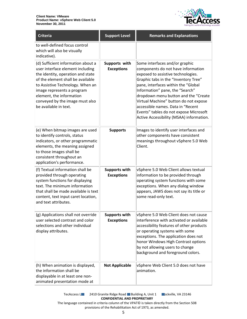

| <b>Criteria</b>                                                                                                                                                                                                                                                                                            | <b>Support Level</b>                      | <b>Remarks and Explanations</b>                                                                                                                                                                                                                                                                                                                                                                                                          |
|------------------------------------------------------------------------------------------------------------------------------------------------------------------------------------------------------------------------------------------------------------------------------------------------------------|-------------------------------------------|------------------------------------------------------------------------------------------------------------------------------------------------------------------------------------------------------------------------------------------------------------------------------------------------------------------------------------------------------------------------------------------------------------------------------------------|
| to well-defined focus control<br>which will also be visually<br>indicative).                                                                                                                                                                                                                               |                                           |                                                                                                                                                                                                                                                                                                                                                                                                                                          |
| (d) Sufficient information about a<br>user interface element including<br>the identity, operation and state<br>of the element shall be available<br>to Assistive Technology. When an<br>image represents a program<br>element, the information<br>conveyed by the image must also<br>be available in text. | Supports with<br><b>Exceptions</b>        | Some interfaces and/or graphic<br>components do not have information<br>exposed to assistive technologies.<br>Graphic tabs in the "Inventory Tree"<br>pane, interfaces within the "Global<br>Information" pane, the "Search"<br>dropdown menu button and the "Create<br>Virtual Machine" button do not expose<br>accessible names. Data in "Recent<br>Events" tables do not expose Microsoft<br>Active Accessibility (MSAA) information. |
| (e) When bitmap images are used<br>to identify controls, status<br>indicators, or other programmatic<br>elements, the meaning assigned<br>to those images shall be<br>consistent throughout an<br>application's performance.                                                                               | <b>Supports</b>                           | Images to identify user interfaces and<br>other components have consistent<br>meanings throughout vSphere 5.0 Web<br>Client.                                                                                                                                                                                                                                                                                                             |
| (f) Textual information shall be<br>provided through operating<br>system functions for displaying<br>text. The minimum information<br>that shall be made available is text<br>content, text input caret location,<br>and text attributes.                                                                  | <b>Supports with</b><br><b>Exceptions</b> | vSphere 5.0 Web Client allows textual<br>information to be provided through<br>operating system functions with some<br>exceptions. When any dialog window<br>appears, JAWS does not say its title or<br>some read-only text.                                                                                                                                                                                                             |
| (g) Applications shall not override<br>user selected contrast and color<br>selections and other individual<br>display attributes.                                                                                                                                                                          | <b>Supports with</b><br><b>Exceptions</b> | vSphere 5.0 Web Client does not cause<br>interference with activated or available<br>accessibility features of other products<br>or operating systems with some<br>exceptions. The application does not<br>honor Windows High Contrast options<br>by not allowing users to change<br>background and foreground colors.                                                                                                                   |
| (h) When animation is displayed,<br>the information shall be<br>displayable in at least one non-<br>animated presentation mode at                                                                                                                                                                          | <b>Not Applicable</b>                     | vSphere Web Client 5.0 does not have<br>animation.                                                                                                                                                                                                                                                                                                                                                                                       |

TecAccess L**LC** 2410 Granite Ridge Road Building A, Unit 1 **Rockville, VA 23146 CONFIDENTIAL AND PROPRIETARY** The language contained in criteria column of the VPAT© is taken directly from the Section 508

provisions of the Rehabilitation Act of 1973, as amended.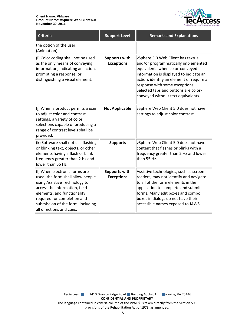

<span id="page-5-0"></span>

| <b>Criteria</b>                                                                                                                                                                                                                                                     | <b>Support Level</b>                      | <b>Remarks and Explanations</b>                                                                                                                                                                                                                                                                                     |
|---------------------------------------------------------------------------------------------------------------------------------------------------------------------------------------------------------------------------------------------------------------------|-------------------------------------------|---------------------------------------------------------------------------------------------------------------------------------------------------------------------------------------------------------------------------------------------------------------------------------------------------------------------|
| the option of the user.<br>(Animation)                                                                                                                                                                                                                              |                                           |                                                                                                                                                                                                                                                                                                                     |
| (i) Color coding shall not be used<br>as the only means of conveying<br>information, indicating an action,<br>prompting a response, or<br>distinguishing a visual element.                                                                                          | <b>Supports with</b><br><b>Exceptions</b> | vSphere 5.0 Web Client has textual<br>and/or programmatically implemented<br>equivalents when color-conveyed<br>information is displayed to indicate an<br>action, identify an element or require a<br>response with some exceptions.<br>Selected tabs and buttons are color-<br>conveyed without text equivalents. |
| (j) When a product permits a user<br>to adjust color and contrast<br>settings, a variety of color<br>selections capable of producing a<br>range of contrast levels shall be<br>provided.                                                                            | <b>Not Applicable</b>                     | vSphere Web Client 5.0 does not have<br>settings to adjust color contrast.                                                                                                                                                                                                                                          |
| (k) Software shall not use flashing<br>or blinking text, objects, or other<br>elements having a flash or blink<br>frequency greater than 2 Hz and<br>lower than 55 Hz.                                                                                              | <b>Supports</b>                           | vSphere Web Client 5.0 does not have<br>content that flashes or blinks with a<br>frequency greater than 2 Hz and lower<br>than 55 Hz.                                                                                                                                                                               |
| (I) When electronic forms are<br>used, the form shall allow people<br>using Assistive Technology to<br>access the information, field<br>elements, and functionality<br>required for completion and<br>submission of the form, including<br>all directions and cues. | <b>Supports with</b><br><b>Exceptions</b> | Assistive technologies, such as screen<br>readers, may not identify and navigate<br>to all of the form elements in the<br>application to complete and submit<br>forms. Many edit boxes and combo<br>boxes in dialogs do not have their<br>accessible names exposed to JAWS.                                         |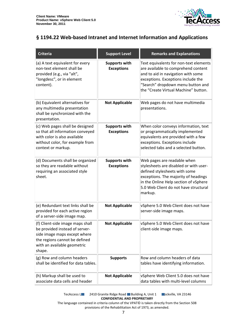

#### **§ 1194.22 Web-based Intranet and Internet Information and Applications**

| <b>Criteria</b>                                                                                                                                                              | <b>Support Level</b>                      | <b>Remarks and Explanations</b>                                                                                                                                                                                                             |
|------------------------------------------------------------------------------------------------------------------------------------------------------------------------------|-------------------------------------------|---------------------------------------------------------------------------------------------------------------------------------------------------------------------------------------------------------------------------------------------|
| (a) A text equivalent for every<br>non-text element shall be<br>provided (e.g., via "alt",<br>"longdesc", or in element<br>content).                                         | <b>Supports with</b><br><b>Exceptions</b> | Text equivalents for non-text elements<br>are available to comprehend content<br>and to aid in navigation with some<br>exceptions. Exceptions include the<br>"Search" dropdown menu button and<br>the "Create Virtual Machine" button.      |
| (b) Equivalent alternatives for<br>any multimedia presentation<br>shall be synchronized with the<br>presentation.                                                            | <b>Not Applicable</b>                     | Web pages do not have multimedia<br>presentations.                                                                                                                                                                                          |
| (c) Web pages shall be designed<br>so that all information conveyed<br>with color is also available<br>without color, for example from<br>context or markup.                 | <b>Supports with</b><br><b>Exceptions</b> | When color conveys information, text<br>or programmatically implemented<br>equivalents are provided with a few<br>exceptions. Exceptions include<br>selected tabs and a selected button.                                                    |
| (d) Documents shall be organized<br>so they are readable without<br>requiring an associated style<br>sheet.                                                                  | <b>Supports with</b><br><b>Exceptions</b> | Web pages are readable when<br>stylesheets are disabled or with user-<br>defined stylesheets with some<br>exceptions. The majority of headings<br>in the Online Help section of vSphere<br>5.0 Web Client do not have structural<br>markup. |
| (e) Redundant text links shall be<br>provided for each active region<br>of a server-side image map.                                                                          | <b>Not Applicable</b>                     | vSphere 5.0 Web Client does not have<br>server-side image maps.                                                                                                                                                                             |
| (f) Client-side image maps shall<br>be provided instead of server-<br>side image maps except where<br>the regions cannot be defined<br>with an available geometric<br>shape. | <b>Not Applicable</b>                     | vSphere 5.0 Web Client does not have<br>client-side image maps.                                                                                                                                                                             |
| (g) Row and column headers<br>shall be identified for data tables.                                                                                                           | <b>Supports</b>                           | Row and column headers of data<br>tables have identifying information.                                                                                                                                                                      |
| (h) Markup shall be used to<br>associate data cells and header                                                                                                               | <b>Not Applicable</b>                     | vSphere Web Client 5.0 does not have<br>data tables with multi-level columns                                                                                                                                                                |

TecAccess L**LC** 2410 Granite Ridge Road Building A, Unit 1 **Rockville, VA 23146 CONFIDENTIAL AND PROPRIETARY**

The language contained in criteria column of the VPAT© is taken directly from the Section 508 provisions of the Rehabilitation Act of 1973, as amended.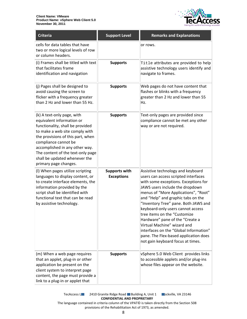

| Criteria                                                                                                                                                                                                                                                                                                                    | <b>Support Level</b>                      | <b>Remarks and Explanations</b>                                                                                                                                                                                                                                                                                                                                                                                                                                                                                                           |
|-----------------------------------------------------------------------------------------------------------------------------------------------------------------------------------------------------------------------------------------------------------------------------------------------------------------------------|-------------------------------------------|-------------------------------------------------------------------------------------------------------------------------------------------------------------------------------------------------------------------------------------------------------------------------------------------------------------------------------------------------------------------------------------------------------------------------------------------------------------------------------------------------------------------------------------------|
| cells for data tables that have<br>two or more logical levels of row<br>or column headers.                                                                                                                                                                                                                                  |                                           | or rows.                                                                                                                                                                                                                                                                                                                                                                                                                                                                                                                                  |
| (i) Frames shall be titled with text<br>that facilitates frame<br>identification and navigation                                                                                                                                                                                                                             | <b>Supports</b>                           | Title attributes are provided to help<br>assistive technology users identify and<br>navigate to frames.                                                                                                                                                                                                                                                                                                                                                                                                                                   |
| (j) Pages shall be designed to<br>avoid causing the screen to<br>flicker with a frequency greater<br>than 2 Hz and lower than 55 Hz.                                                                                                                                                                                        | <b>Supports</b>                           | Web pages do not have content that<br>flashes or blinks with a frequency<br>greater than 2 Hz and lower than 55<br>Hz.                                                                                                                                                                                                                                                                                                                                                                                                                    |
| (k) A text-only page, with<br>equivalent information or<br>functionality, shall be provided<br>to make a web site comply with<br>the provisions of this part, when<br>compliance cannot be<br>accomplished in any other way.<br>The content of the text-only page<br>shall be updated whenever the<br>primary page changes. | <b>Supports</b>                           | Text-only pages are provided since<br>compliance cannot be met any other<br>way or are not required.                                                                                                                                                                                                                                                                                                                                                                                                                                      |
| (I) When pages utilize scripting<br>languages to display content, or<br>to create interface elements, the<br>information provided by the<br>script shall be identified with<br>functional text that can be read<br>by assistive technology.                                                                                 | <b>Supports with</b><br><b>Exceptions</b> | Assistive technology and keyboard<br>users can access scripted interfaces<br>with some exceptions. Exceptions for<br>JAWS users include the dropdown<br>menus of "More Applications", "Root"<br>and "Help" and graphic tabs on the<br>"Inventory Tree" pane. Both JAWS and<br>keyboard-only users cannot access<br>tree items on the "Customize<br>Hardware" pane of the "Create a<br>Virtual Machine" wizard and<br>interfaces on the "Global Information"<br>pane. The Flex-based application does<br>not gain keyboard focus at times. |
| (m) When a web page requires<br>that an applet, plug-in or other<br>application be present on the<br>client system to interpret page<br>content, the page must provide a<br>link to a plug-in or applet that                                                                                                                | <b>Supports</b>                           | vSphere 5.0 Web Client provides links<br>to accessible applets and/or plug-ins<br>whose files appear on the website.                                                                                                                                                                                                                                                                                                                                                                                                                      |

TecAccess L**LC** 2410 Granite Ridge Road Building A, Unit 1 **Rockville, VA 23146 CONFIDENTIAL AND PROPRIETARY** The language contained in criteria column of the VPAT© is taken directly from the Section 508

provisions of the Rehabilitation Act of 1973, as amended.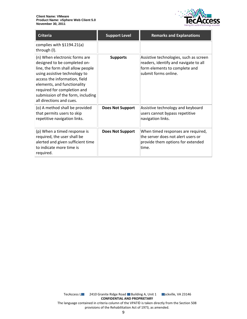

| <b>Criteria</b>                                                                                                                                                                                                                                                                                     | <b>Support Level</b>    | <b>Remarks and Explanations</b>                                                                                                          |
|-----------------------------------------------------------------------------------------------------------------------------------------------------------------------------------------------------------------------------------------------------------------------------------------------------|-------------------------|------------------------------------------------------------------------------------------------------------------------------------------|
| complies with §1194.21(a)<br>through (I).                                                                                                                                                                                                                                                           |                         |                                                                                                                                          |
| (n) When electronic forms are<br>designed to be completed on-<br>line, the form shall allow people<br>using assistive technology to<br>access the information, field<br>elements, and functionality<br>required for completion and<br>submission of the form, including<br>all directions and cues. | <b>Supports</b>         | Assistive technologies, such as screen<br>readers, identify and navigate to all<br>form elements to complete and<br>submit forms online. |
| (o) A method shall be provided<br>that permits users to skip<br>repetitive navigation links.                                                                                                                                                                                                        | <b>Does Not Support</b> | Assistive technology and keyboard<br>users cannot bypass repetitive<br>navigation links.                                                 |
| (p) When a timed response is<br>required, the user shall be<br>alerted and given sufficient time<br>to indicate more time is<br>required.                                                                                                                                                           | <b>Does Not Support</b> | When timed responses are required,<br>the server does not alert users or<br>provide them options for extended<br>ltime.                  |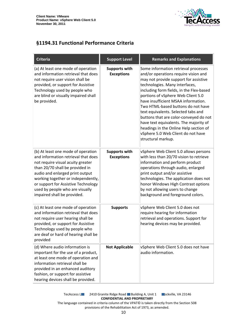

### <span id="page-9-0"></span>**§1194.31 Functional Performance Criteria**

| <b>Criteria</b>                                                                                                                                                                                                                                                                                                                     | <b>Support Level</b>                      | <b>Remarks and Explanations</b>                                                                                                                                                                                                                                                                                                                                                                                                                                                                                                                         |
|-------------------------------------------------------------------------------------------------------------------------------------------------------------------------------------------------------------------------------------------------------------------------------------------------------------------------------------|-------------------------------------------|---------------------------------------------------------------------------------------------------------------------------------------------------------------------------------------------------------------------------------------------------------------------------------------------------------------------------------------------------------------------------------------------------------------------------------------------------------------------------------------------------------------------------------------------------------|
| (a) At least one mode of operation<br>and information retrieval that does<br>not require user vision shall be<br>provided, or support for Assistive<br>Technology used by people who<br>are blind or visually impaired shall<br>be provided.                                                                                        | <b>Supports with</b><br><b>Exceptions</b> | Some information retrieval processes<br>and/or operations require vision and<br>may not provide support for assistive<br>technologies. Many interfaces,<br>including form fields, in the Flex-based<br>portions of vSphere Web Client 5.0<br>have insufficient MSAA information.<br>Two HTML-based buttons do not have<br>text equivalents. Selected tabs and<br>buttons that are color-conveyed do not<br>have text equivalents. The majority of<br>headings in the Online Help section of<br>vSphere 5.0 Web Client do not have<br>structural markup. |
| (b) At least one mode of operation<br>and information retrieval that does<br>not require visual acuity greater<br>than 20/70 shall be provided in<br>audio and enlarged print output<br>working together or independently,<br>or support for Assistive Technology<br>used by people who are visually<br>impaired shall be provided. | <b>Supports with</b><br><b>Exceptions</b> | vSphere Web Client 5.0 allows persons<br>with less than 20/70 vision to retrieve<br>information and perform product<br>operations through audio, enlarged<br>print output and/or assistive<br>technologies. The application does not<br>honor Windows High Contrast options<br>by not allowing users to change<br>background and foreground colors.                                                                                                                                                                                                     |
| (c) At least one mode of operation<br>and information retrieval that does<br>not require user hearing shall be<br>provided, or support for Assistive<br>Technology used by people who<br>are deaf or hard of hearing shall be<br>provided                                                                                           | <b>Supports</b>                           | vSphere Web Client 5.0 does not<br>require hearing for information<br>retrieval and operations. Support for<br>hearing devices may be provided.                                                                                                                                                                                                                                                                                                                                                                                                         |
| (d) Where audio information is<br>important for the use of a product,<br>at least one mode of operation and<br>information retrieval shall be<br>provided in an enhanced auditory<br>fashion, or support for assistive<br>hearing devices shall be provided.                                                                        | <b>Not Applicable</b>                     | vSphere Web Client 5.0 does not have<br>audio information.                                                                                                                                                                                                                                                                                                                                                                                                                                                                                              |

TecAccess L**LC** 2410 Granite Ridge Road Building A, Unit 1 **Rockville, VA 23146 CONFIDENTIAL AND PROPRIETARY** The language contained in criteria column of the VPAT© is taken directly from the Section 508 provisions of the Rehabilitation Act of 1973, as amended.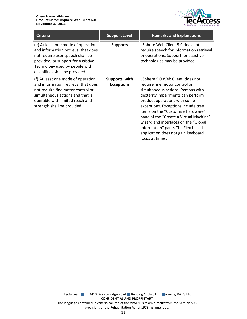

| <b>Criteria</b>                                                                                                                                                                                                          | <b>Support Level</b>               | <b>Remarks and Explanations</b>                                                                                                                                                                                                                                                                                                                                                                                                         |
|--------------------------------------------------------------------------------------------------------------------------------------------------------------------------------------------------------------------------|------------------------------------|-----------------------------------------------------------------------------------------------------------------------------------------------------------------------------------------------------------------------------------------------------------------------------------------------------------------------------------------------------------------------------------------------------------------------------------------|
| (e) At least one mode of operation<br>and information retrieval that does<br>not require user speech shall be<br>provided, or support for Assistive<br>Technology used by people with<br>disabilities shall be provided. | <b>Supports</b>                    | vSphere Web Client 5.0 does not<br>require speech for information retrieval<br>or operations. Support for assistive<br>technologies may be provided.                                                                                                                                                                                                                                                                                    |
| (f) At least one mode of operation<br>and information retrieval that does<br>not require fine motor control or<br>simultaneous actions and that is<br>operable with limited reach and<br>strength shall be provided.     | Supports with<br><b>Exceptions</b> | vSphere 5.0 Web Client does not<br>require fine motor control or<br>simultaneous actions. Persons with<br>dexterity impairments can perform<br>product operations with some<br>exceptions. Exceptions include tree<br>items on the "Customize Hardware"<br>pane of the "Create a Virtual Machine"<br>wizard and interfaces on the "Global<br>Information" pane. The Flex-based<br>application does not gain keyboard<br>focus at times. |